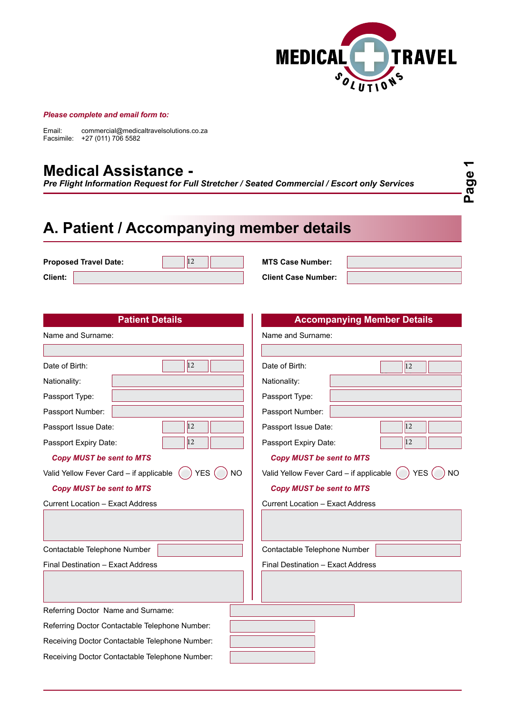

#### *Please complete and email form to:*

Email: commercial@medicaltravelsolutions.co.za Facsimile: +27 (011) 706 5582

#### **Medical Assistance -**

*Pre Flight Information Request for Full Stretcher / Seated Commercial / Escort only Services*

**Page 1**

# **A. Patient / Accompanying member details**

**Proposed Travel Date: MTS Case Number:** 

 $|12|$ 01234567089101

**Client: Client: Client Case Number:** 

| <b>Client:</b>                                                     | <b>Client Case Number:</b>                                   |  |  |
|--------------------------------------------------------------------|--------------------------------------------------------------|--|--|
|                                                                    |                                                              |  |  |
| <b>Patient Details</b>                                             | <b>Accompanying Member Details</b>                           |  |  |
| Name and Surname:                                                  | Name and Surname:                                            |  |  |
|                                                                    |                                                              |  |  |
| $ 12\rangle$<br>Date of Birth:                                     | Date of Birth:<br>$ 12\rangle$                               |  |  |
| Nationality:                                                       | Nationality:                                                 |  |  |
| Passport Type:                                                     | Passport Type:                                               |  |  |
| Passport Number:                                                   | Passport Number:                                             |  |  |
| $ 12\rangle$<br>Passport Issue Date:                               | 12<br>Passport Issue Date:                                   |  |  |
| $ 12\rangle$<br>Passport Expiry Date:                              | $ 12\rangle$<br>Passport Expiry Date:                        |  |  |
| <b>Copy MUST be sent to MTS</b>                                    | <b>Copy MUST be sent to MTS</b>                              |  |  |
| <b>YES</b><br>Valid Yellow Fever Card - if applicable<br><b>NO</b> | <b>YES</b><br>Valid Yellow Fever Card - if applicable<br>NO. |  |  |
| <b>Copy MUST be sent to MTS</b>                                    | <b>Copy MUST be sent to MTS</b>                              |  |  |
| <b>Current Location - Exact Address</b>                            | <b>Current Location - Exact Address</b>                      |  |  |
|                                                                    |                                                              |  |  |
|                                                                    |                                                              |  |  |
| Contactable Telephone Number                                       | Contactable Telephone Number                                 |  |  |
| Final Destination - Exact Address                                  | Final Destination - Exact Address                            |  |  |
|                                                                    |                                                              |  |  |
|                                                                    |                                                              |  |  |
| Referring Doctor Name and Surname:                                 |                                                              |  |  |
| Referring Doctor Contactable Telephone Number:                     |                                                              |  |  |
| Receiving Doctor Contactable Telephone Number:                     |                                                              |  |  |
| Receiving Doctor Contactable Telephone Number:                     |                                                              |  |  |